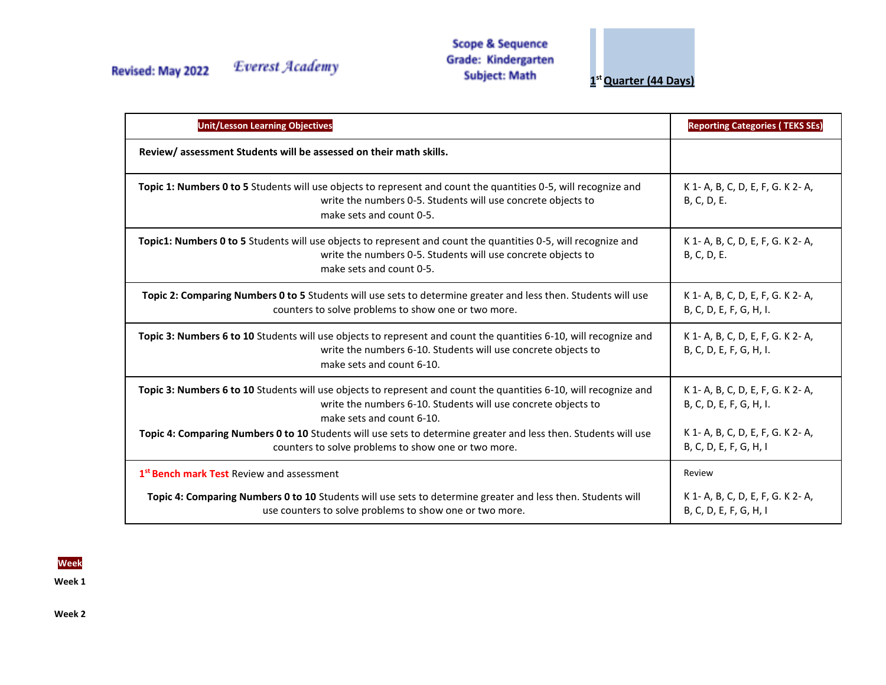## Revised: May 2022

Everest Academy

**Scope & Sequence Grade: Kindergarten Subject: Math** 

**1 st Quarter (44 Days)**

| <b>Unit/Lesson Learning Objectives</b>                                                                                                                                                                          | <b>Reporting Categories (TEKS SEs)</b>                       |
|-----------------------------------------------------------------------------------------------------------------------------------------------------------------------------------------------------------------|--------------------------------------------------------------|
| Review/assessment Students will be assessed on their math skills.                                                                                                                                               |                                                              |
| Topic 1: Numbers 0 to 5 Students will use objects to represent and count the quantities 0-5, will recognize and<br>write the numbers 0-5. Students will use concrete objects to<br>make sets and count 0-5.     | K 1- A, B, C, D, E, F, G. K 2- A,<br>B, C, D, E.             |
| Topic1: Numbers 0 to 5 Students will use objects to represent and count the quantities 0-5, will recognize and<br>write the numbers 0-5. Students will use concrete objects to<br>make sets and count 0-5.      | K 1- A, B, C, D, E, F, G. K 2- A,<br>B, C, D, E.             |
| Topic 2: Comparing Numbers 0 to 5 Students will use sets to determine greater and less then. Students will use<br>counters to solve problems to show one or two more.                                           | K 1- A, B, C, D, E, F, G. K 2- A,<br>B, C, D, E, F, G, H, I. |
| Topic 3: Numbers 6 to 10 Students will use objects to represent and count the quantities 6-10, will recognize and<br>write the numbers 6-10. Students will use concrete objects to<br>make sets and count 6-10. | K 1- A, B, C, D, E, F, G. K 2- A,<br>B, C, D, E, F, G, H, I. |
| Topic 3: Numbers 6 to 10 Students will use objects to represent and count the quantities 6-10, will recognize and<br>write the numbers 6-10. Students will use concrete objects to<br>make sets and count 6-10. | K 1- A, B, C, D, E, F, G. K 2- A,<br>B, C, D, E, F, G, H, I. |
| Topic 4: Comparing Numbers 0 to 10 Students will use sets to determine greater and less then. Students will use<br>counters to solve problems to show one or two more.                                          | K 1- A, B, C, D, E, F, G. K 2- A,<br>B, C, D, E, F, G, H, I  |
| 1 <sup>st</sup> Bench mark Test Review and assessment                                                                                                                                                           | Review                                                       |
| Topic 4: Comparing Numbers 0 to 10 Students will use sets to determine greater and less then. Students will<br>use counters to solve problems to show one or two more.                                          | K 1- A, B, C, D, E, F, G. K 2- A,<br>B, C, D, E, F, G, H, I  |

**Week** 

**Week 1** 

**Week 2**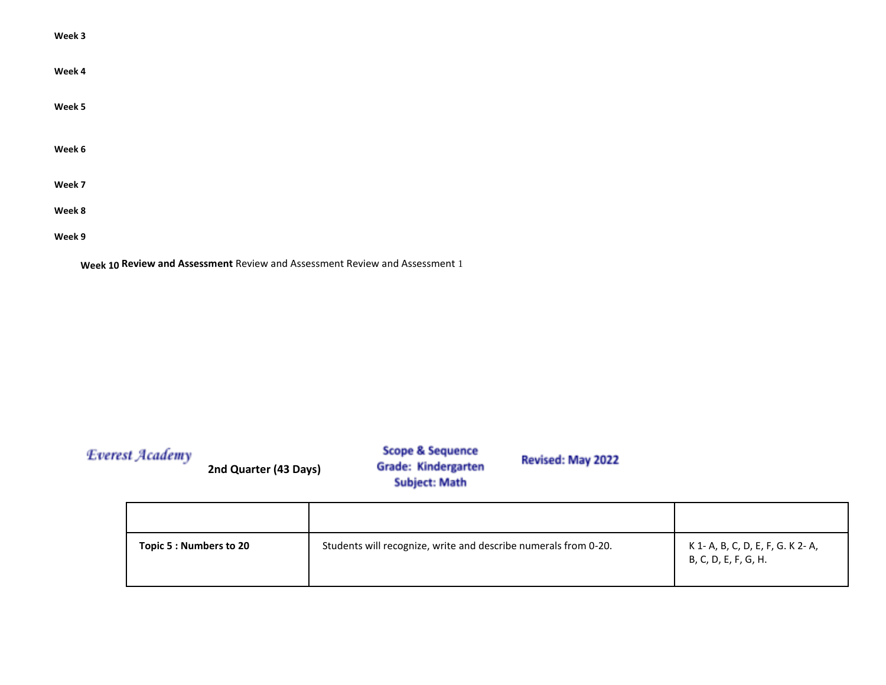| Week 3                                                                      |
|-----------------------------------------------------------------------------|
| Week 4                                                                      |
| Week 5                                                                      |
| Week 6                                                                      |
| Week 7                                                                      |
| Week 8                                                                      |
| Week 9                                                                      |
| Week 10 Review and Assessment Review and Assessment Review and Assessment 1 |

| <b>Everest Academy</b> | 2nd Quarter (43 Days)   | <b>Scope &amp; Sequence</b><br>Grade: Kindergarten<br><b>Subject: Math</b> | Revised: May 2022 |                                                           |
|------------------------|-------------------------|----------------------------------------------------------------------------|-------------------|-----------------------------------------------------------|
|                        | Topic 5 : Numbers to 20 | Students will recognize, write and describe numerals from 0-20.            |                   | K 1- A, B, C, D, E, F, G. K 2- A,<br>B, C, D, E, F, G, H. |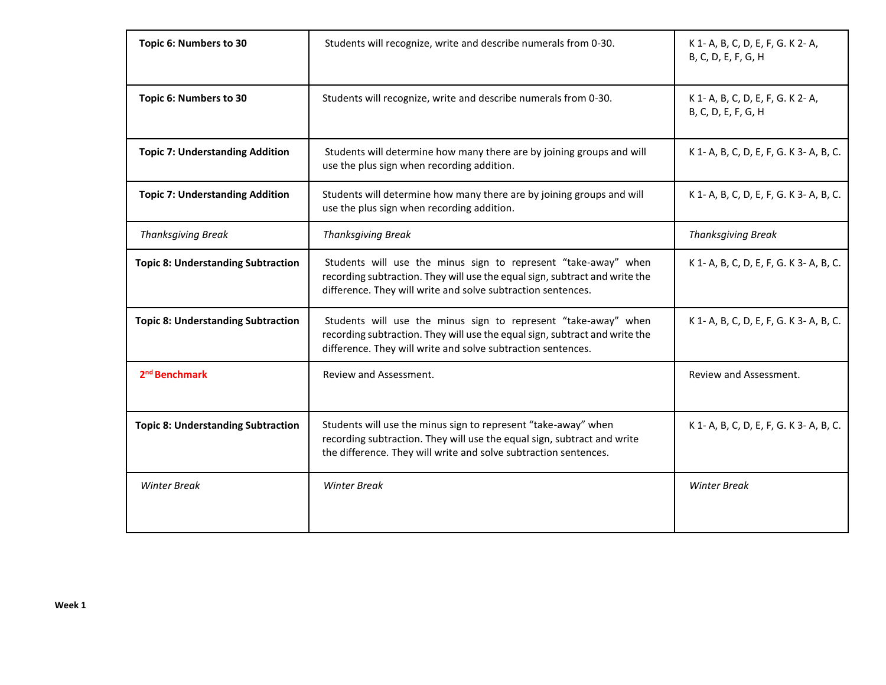| Topic 6: Numbers to 30<br>Students will recognize, write and describe numerals from 0-30. |                                                                                                                                                                                                               | K 1- A, B, C, D, E, F, G. K 2- A,<br>B, C, D, E, F, G, H |
|-------------------------------------------------------------------------------------------|---------------------------------------------------------------------------------------------------------------------------------------------------------------------------------------------------------------|----------------------------------------------------------|
| Topic 6: Numbers to 30                                                                    | Students will recognize, write and describe numerals from 0-30.                                                                                                                                               | K 1- A, B, C, D, E, F, G. K 2- A,<br>B, C, D, E, F, G, H |
| <b>Topic 7: Understanding Addition</b>                                                    | Students will determine how many there are by joining groups and will<br>use the plus sign when recording addition.                                                                                           | K 1- A, B, C, D, E, F, G. K 3- A, B, C.                  |
| <b>Topic 7: Understanding Addition</b>                                                    | Students will determine how many there are by joining groups and will<br>use the plus sign when recording addition.                                                                                           | K 1- A, B, C, D, E, F, G. K 3- A, B, C.                  |
| <b>Thanksgiving Break</b>                                                                 | <b>Thanksgiving Break</b>                                                                                                                                                                                     | <b>Thanksgiving Break</b>                                |
| <b>Topic 8: Understanding Subtraction</b>                                                 | Students will use the minus sign to represent "take-away" when<br>recording subtraction. They will use the equal sign, subtract and write the<br>difference. They will write and solve subtraction sentences. | K 1- A, B, C, D, E, F, G. K 3- A, B, C.                  |
| <b>Topic 8: Understanding Subtraction</b>                                                 | Students will use the minus sign to represent "take-away" when<br>recording subtraction. They will use the equal sign, subtract and write the<br>difference. They will write and solve subtraction sentences. | K 1- A, B, C, D, E, F, G. K 3- A, B, C.                  |
| 2 <sup>nd</sup> Benchmark                                                                 | Review and Assessment.                                                                                                                                                                                        | Review and Assessment.                                   |
| <b>Topic 8: Understanding Subtraction</b>                                                 | Students will use the minus sign to represent "take-away" when<br>recording subtraction. They will use the equal sign, subtract and write<br>the difference. They will write and solve subtraction sentences. | K 1- A, B, C, D, E, F, G. K 3- A, B, C.                  |
| <b>Winter Break</b>                                                                       | <b>Winter Break</b>                                                                                                                                                                                           | <b>Winter Break</b>                                      |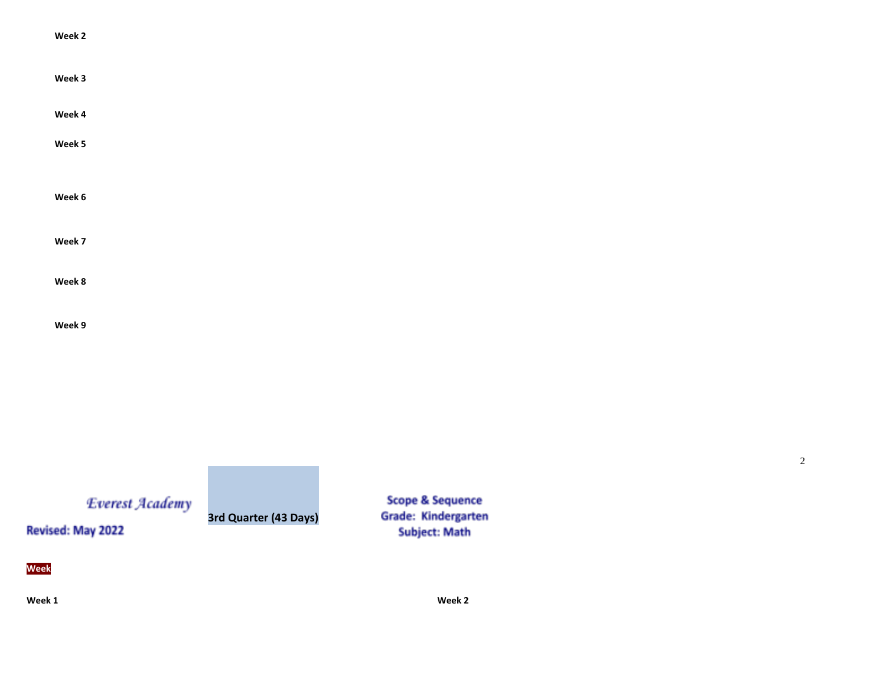| Week 2 |  |  |  |
|--------|--|--|--|
| Week 3 |  |  |  |
| Week 4 |  |  |  |
| Week 5 |  |  |  |
|        |  |  |  |
| Week 6 |  |  |  |
|        |  |  |  |
| Week 7 |  |  |  |
|        |  |  |  |
| Week 8 |  |  |  |
|        |  |  |  |

**Week 9** 

Everest Academy

**3rd Quarter (43 Days)**

**Scope & Sequence Grade: Kindergarten Subject: Math** 

**Week** 

Revised: May 2022

**Week 1 Week 2** 

2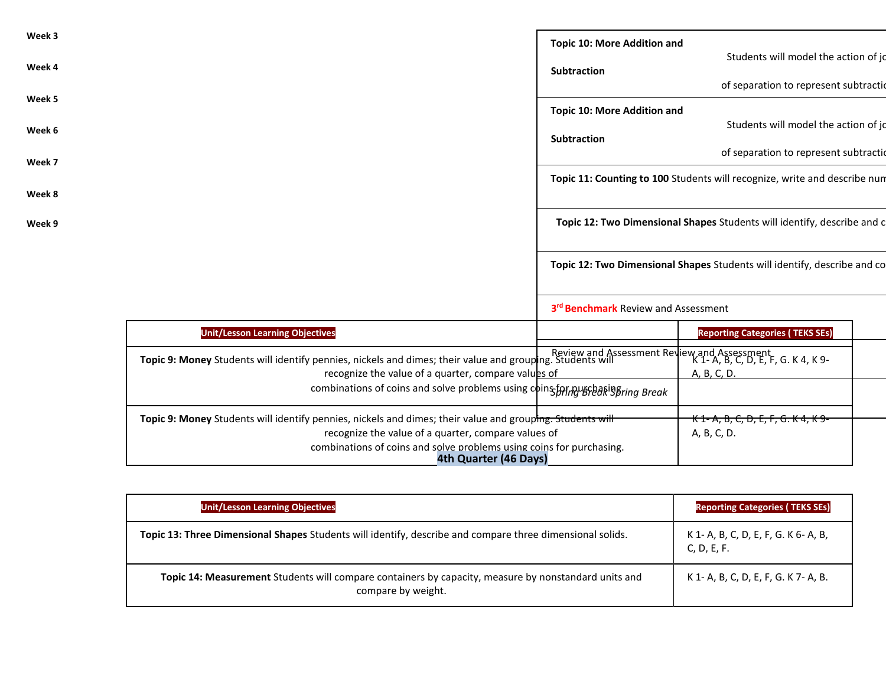| Week 3                                                                                                                                                                                                          | <b>Topic 10: More Addition and</b>  |                                                                           |  |
|-----------------------------------------------------------------------------------------------------------------------------------------------------------------------------------------------------------------|-------------------------------------|---------------------------------------------------------------------------|--|
| Week 4                                                                                                                                                                                                          | <b>Subtraction</b>                  | Students will model the action of jo                                      |  |
| Week 5                                                                                                                                                                                                          |                                     | of separation to represent subtractio                                     |  |
| Week 6                                                                                                                                                                                                          | <b>Topic 10: More Addition and</b>  | Students will model the action of jo                                      |  |
|                                                                                                                                                                                                                 | <b>Subtraction</b>                  | of separation to represent subtractio                                     |  |
| Week 7                                                                                                                                                                                                          |                                     | Topic 11: Counting to 100 Students will recognize, write and describe num |  |
| Week 8                                                                                                                                                                                                          |                                     |                                                                           |  |
| Week 9                                                                                                                                                                                                          |                                     | Topic 12: Two Dimensional Shapes Students will identify, describe and c   |  |
|                                                                                                                                                                                                                 |                                     | Topic 12: Two Dimensional Shapes Students will identify, describe and co  |  |
|                                                                                                                                                                                                                 | 3rd Benchmark Review and Assessment |                                                                           |  |
| <b>Unit/Lesson Learning Objectives</b>                                                                                                                                                                          |                                     | <b>Reporting Categories (TEKS SEs)</b>                                    |  |
| Review and Assessment Review and Assessment<br>Topic 9: Money Students will identify pennies, nickels and dimes; their value and grouping. Students will<br>recognize the value of a quarter, compare values of |                                     | A, B, C, D.                                                               |  |
| combinations of coins and solve problems using coins for a separation Break                                                                                                                                     |                                     |                                                                           |  |
| Topic 9: Money Students will identify pennies, nickels and dimes; their value and grouphng. Students will<br>recognize the value of a quarter, compare values of                                                |                                     | <del>K 1- A, B, C, D, E, F, G. K 4, K 9-</del><br>A, B, C, D.             |  |

| <b>Unit/Lesson Learning Objectives</b>                                                                                     | <b>Reporting Categories (TEKS SEs)</b>              |
|----------------------------------------------------------------------------------------------------------------------------|-----------------------------------------------------|
| Topic 13: Three Dimensional Shapes Students will identify, describe and compare three dimensional solids.                  | K 1- A, B, C, D, E, F, G. K 6- A, B,<br>C, D, E, F. |
| Topic 14: Measurement Students will compare containers by capacity, measure by nonstandard units and<br>compare by weight. | K 1- A, B, C, D, E, F, G. K 7- A, B.                |

**4th Quarter (46 Days)**

combinations of coins and solve problems using coins for purchasing.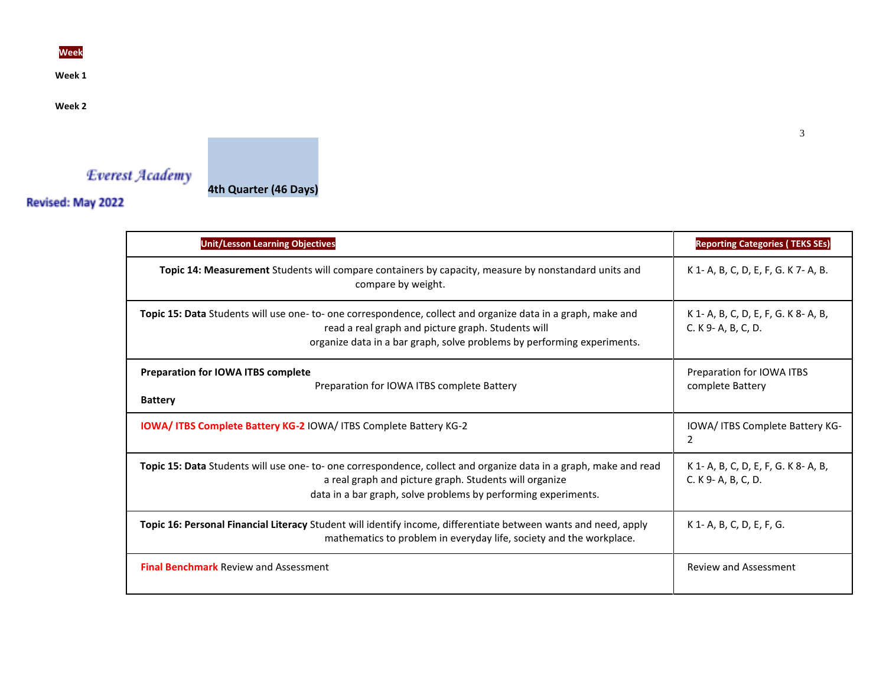**Week** 

**Week 1** 

**Week 2** 



Revised: May 2022

**Unit/Lesson Learning Objectives Reporting Categories ( TEKS SEs) Topic 14: Measurement** Students will compare containers by capacity, measure by nonstandard units and compare by weight. K 1- A, B, C, D, E, F, G. K 7- A, B. **Topic 15: Data** Students will use one- to- one correspondence, collect and organize data in a graph, make and read a real graph and picture graph. Students will organize data in a bar graph, solve problems by performing experiments. K 1- A, B, C, D, E, F, G. K 8- A, B, C. K 9- A, B, C, D. **Preparation for IOWA ITBS complete**  Preparation for IOWA ITBS complete Battery **Battery**  Preparation for IOWA ITBS complete Battery **IOWA/ ITBS Complete Battery KG-2** IOWA/ ITBS Complete Battery KG-2 **IOWA/ ITBS Complete Battery KG-**2 **Topic 15: Data** Students will use one- to- one correspondence, collect and organize data in a graph, make and read a real graph and picture graph. Students will organize data in a bar graph, solve problems by performing experiments. K 1- A, B, C, D, E, F, G. K 8- A, B, C. K 9- A, B, C, D. **Topic 16: Personal Financial Literacy** Student will identify income, differentiate between wants and need, apply mathematics to problem in everyday life, society and the workplace. K 1- A, B, C, D, E, F, G. **Final Benchmark** Review and Assessment **Review and Assessment** Review and Assessment Review and Assessment